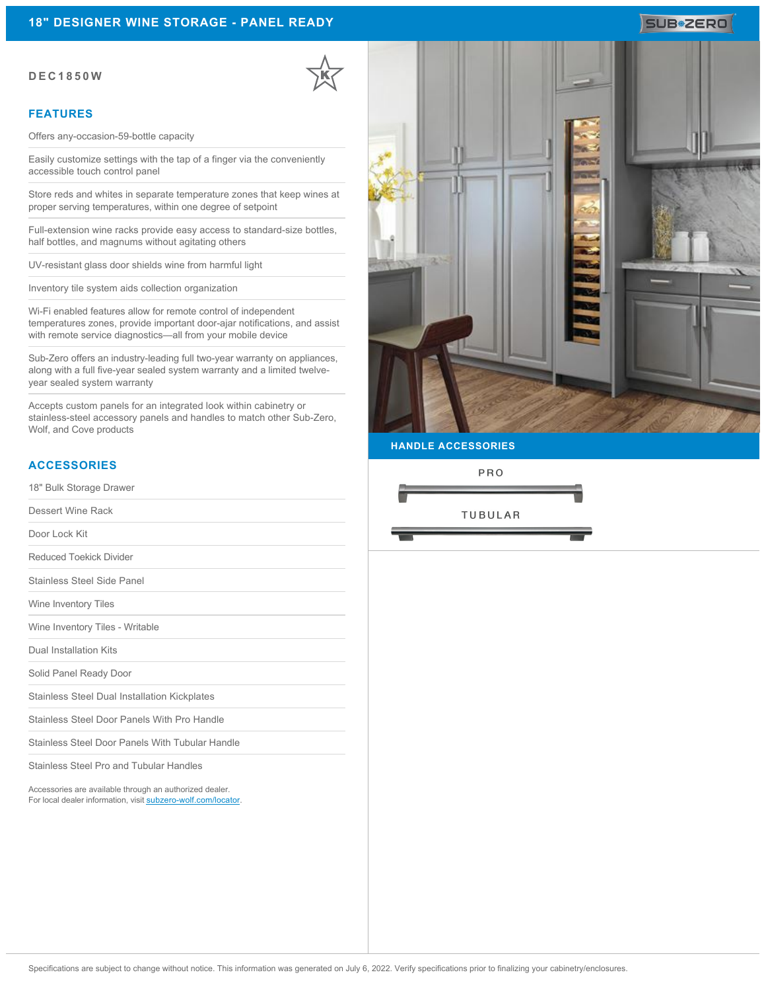#### **DEC1850W**

#### **FEATURES**

Offers any-occasion-59-bottle capacity

Easily customize settings with the tap of a finger via the conveniently accessible touch control panel

Store reds and whites in separate temperature zones that keep wines at proper serving temperatures, within one degree of setpoint

Full-extension wine racks provide easy access to standard-size bottles, half bottles, and magnums without agitating others

UV-resistant glass door shields wine from harmful light

Inventory tile system aids collection organization

Wi-Fi enabled features allow for remote control of independent temperatures zones, provide important door-ajar notifications, and assist with remote service diagnostics—all from your mobile device

Sub-Zero offers an industry-leading full two-year warranty on appliances, along with a full five-year sealed system warranty and a limited twelveyear sealed system warranty

Accepts custom panels for an integrated look within cabinetry or stainless-steel accessory panels and handles to match other Sub-Zero, Wolf, and Cove products

### **ACCESSORIES**

18" Bulk Storage Drawer

Dessert Wine Rack

Door Lock Kit

Reduced Toekick Divider

Stainless Steel Side Panel

Wine Inventory Tiles

Wine Inventory Tiles - Writable

Dual Installation Kits

Solid Panel Ready Door

Stainless Steel Dual Installation Kickplates

Stainless Steel Door Panels With Pro Handle

Stainless Steel Door Panels With Tubular Handle

Stainless Steel Pro and Tubular Handles

Accessories are available through an authorized dealer. For local dealer information, visit [subzero-wolf.com/locator.](http://www.subzero-wolf.com/locator)



**HANDLE ACCESSORIES**

PRO



# SUB<sup>\*</sup>ZERO